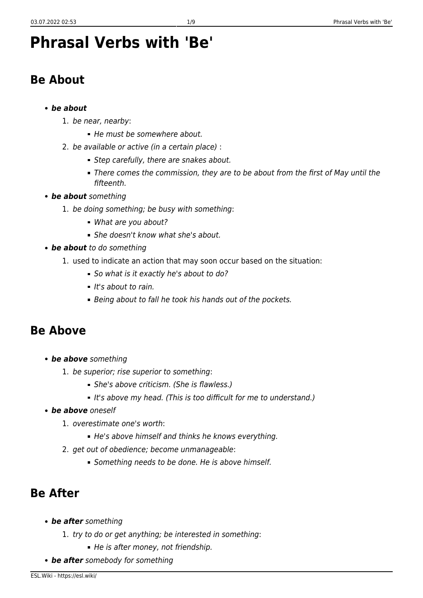# **Phrasal Verbs with 'Be'**

# **Be About**

#### *be about*

- 1. be near, nearby:
	- He must be somewhere about.
- 2. be available or active (in a certain place) :
	- Step carefully, there are snakes about.
	- There comes the commission, they are to be about from the first of May until the fifteenth.
- *be about* something
	- 1. be doing something; be busy with something:
		- What are you about?
		- She doesn't know what she's about.
- *be about* to do something
	- 1. used to indicate an action that may soon occur based on the situation:
		- So what is it exactly he's about to do?
		- $It's about to rain.$
		- Being about to fall he took his hands out of the pockets.

### **Be Above**

- *be above* something
	- 1. be superior; rise superior to something:
		- She's above criticism. (She is flawless.)
		- It's above my head. (This is too difficult for me to understand.)
- *be above* oneself
	- 1. overestimate one's worth:
		- He's above himself and thinks he knows everything.
	- 2. get out of obedience; become unmanageable:
		- Something needs to be done. He is above himself.

# **Be After**

- *be after* something
	- 1. try to do or get anything; be interested in something:
		- He is after money, not friendship.
- *be after* somebody for something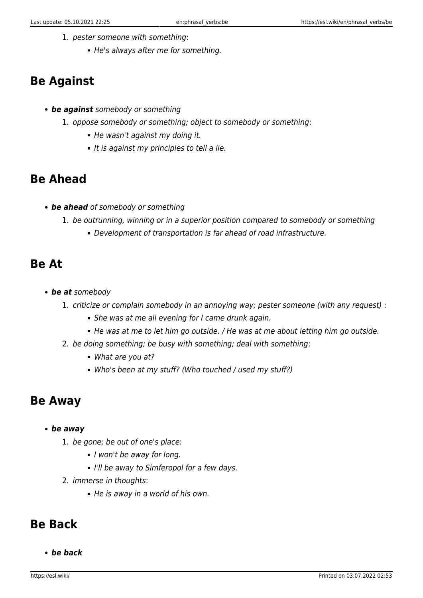- 1. pester someone with something:
	- He's always after me for something.

# **Be Against**

- *be against* somebody or something
	- 1. oppose somebody or something; object to somebody or something:
		- He wasn't against my doing it.
		- It is against my principles to tell a lie.

# **Be Ahead**

- *be ahead* of somebody or something
	- 1. be outrunning, winning or in a superior position compared to somebody or something
		- Development of transportation is far ahead of road infrastructure.

#### **Be At**

- *be at* somebody
	- 1. criticize or complain somebody in an annoying way; pester someone (with any request) :
		- **She was at me all evening for I came drunk again.**
		- He was at me to let him go outside. / He was at me about letting him go outside.
	- 2. be doing something; be busy with something; deal with something:
		- What are you at?
		- Who's been at my stuff? (Who touched / used my stuff?)

### **Be Away**

- *be away*
	- 1. be gone; be out of one's place:
		- I won't be away for long.
		- I'll be away to Simferopol for a few days.
	- 2. immerse in thoughts:
		- He is away in a world of his own.

#### **Be Back**

*be back*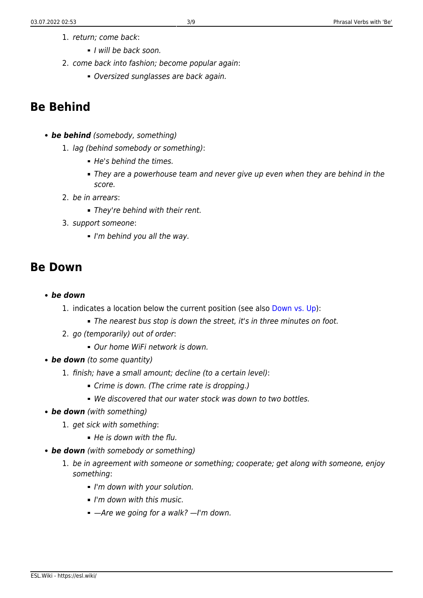- 1. return; come back:
	- I will be back soon.
- 2. come back into fashion; become popular again:
	- Oversized sunglasses are back again.

### **Be Behind**

- *be behind* (somebody, something)
	- 1. lag (behind somebody or something):
		- He's behind the times.
		- They are a powerhouse team and never give up even when they are behind in the score.
	- 2. be in arrears:
		- They're behind with their rent.
	- 3. support someone:
		- $\blacksquare$  I'm behind you all the way.

#### **Be Down**

- *be down*
	- 1. indicates a location below the current position (see also [Down vs. Up\)](https://esl.wiki/en/word_usage/up_vs_down):
		- The nearest bus stop is down the street, it's in three minutes on foot.
	- 2. go (temporarily) out of order:
		- Our home WiFi network is down.
- **be down** (to some quantity)
	- 1. finish; have a small amount; decline (to a certain level):
		- Crime is down. (The crime rate is dropping.)
		- We discovered that our water stock was down to two bottles.
- *be down* (with something)
	- 1. get sick with something:
		- $H$ e is down with the flu.
- *be down* (with somebody or something)
	- 1. be in agreement with someone or something; cooperate; get along with someone, enjoy something:
		- I'm down with your solution.
		- I'm down with this music.
		- $-$ Are we going for a walk?  $-$ I'm down.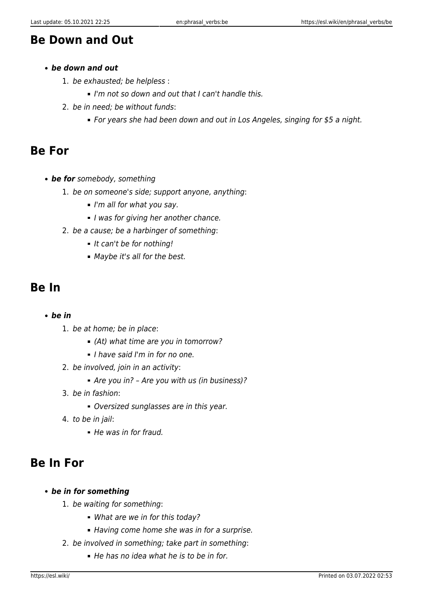### **Be Down and Out**

#### *be down and out*

- 1. be exhausted; be helpless :
	- I'm not so down and out that I can't handle this.
- 2. be in need; be without funds:
	- For years she had been down and out in Los Angeles, singing for \$5 a night.

#### **Be For**

- *be for* somebody, something
	- 1. be on someone's side; support anyone, anything:
		- $\blacksquare$  I'm all for what you say.
		- I was for giving her another chance.
	- 2. be a cause; be a harbinger of something:
		- It can't be for nothing!
		- Maybe it's all for the best.

#### **Be In**

- *be in*
	- 1. be at home; be in place:
		- (At) what time are you in tomorrow?
		- I have said I'm in for no one.
	- 2. be involved, join in an activity:
		- Are you in? Are you with us (in business)?
	- 3. be in fashion:
		- Oversized sunglasses are in this year.
	- 4. to be in jail:
		- He was in for fraud.

# **Be In For**

- *be in for something*
	- 1. be waiting for something:
		- What are we in for this today?
		- Having come home she was in for a surprise.
	- 2. be involved in something; take part in something:
		- $\blacksquare$  He has no idea what he is to be in for.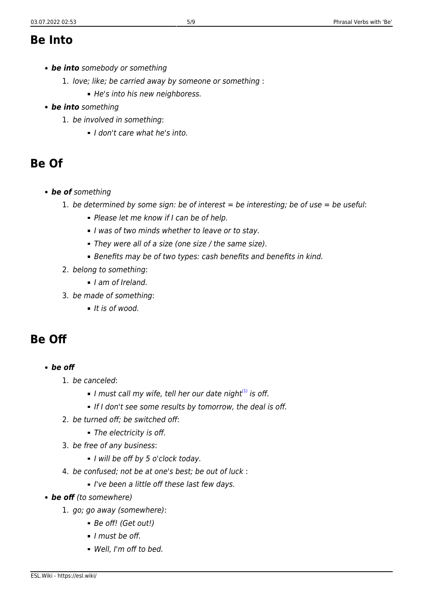#### **Be Into**

- *be into* somebody or something
	- 1. love; like; be carried away by someone or something :
		- He's into his new neighboress.
- *be into* something
	- 1. be involved in something:
		- I don't care what he's into.

# **Be Of**

- *be of* something
	- 1. be determined by some sign: be of interest  $=$  be interesting; be of use  $=$  be useful:
		- **Please let me know if I can be of help.**
		- I was of two minds whether to leave or to stay.
		- They were all of a size (one size / the same size).
		- Benefits may be of two types: cash benefits and benefits in kind.
	- 2. belong to something:
		- I am of Ireland.
	- 3. be made of something:
		- $It is of wood.$

# **Be Off**

- <span id="page-4-0"></span>*be off*
	- 1. be canceled:
		- I must call my wife, tell her our date night $(1)$  is off.
		- If I don't see some results by tomorrow, the deal is off.
	- 2. be turned off; be switched off:
		- The electricity is off.
	- 3. be free of any business:
		- I will be off by 5 o'clock today.
	- 4. be confused; not be at one's best; be out of luck :
		- **I've been a little off these last few days.**
- *be off* (to somewhere)
	- 1. go; go away (somewhere):
		- Be off! (Get out!)
		- I must be off.
		- Well, I'm off to bed.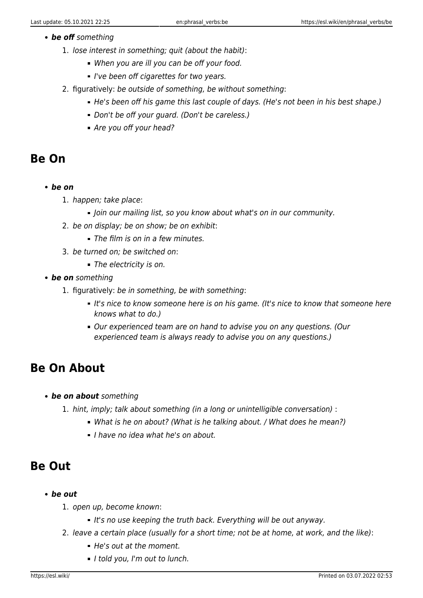#### *be off* something

- 1. lose interest in something; quit (about the habit):
	- When you are ill you can be off your food.
	- I've been off cigarettes for two years.
- 2. figuratively: be outside of something, be without something:
	- He's been off his game this last couple of days. (He's not been in his best shape.)
	- Don't be off your quard. (Don't be careless.)
	- Are you off your head?

### **Be On**

- *be on*
	- 1. happen; take place:
		- Join our mailing list, so you know about what's on in our community.
	- 2. be on display; be on show; be on exhibit:
		- The film is on in a few minutes.
	- 3. be turned on; be switched on:
		- The electricity is on.
- *be on* something
	- 1. figuratively: be in something, be with something:
		- It's nice to know someone here is on his game. (It's nice to know that someone here knows what to do.)
		- Our experienced team are on hand to advise you on any questions. (Our experienced team is always ready to advise you on any questions.)

### **Be On About**

- *be on about* something
	- 1. hint, imply; talk about something (in a long or unintelligible conversation) :
		- What is he on about? (What is he talking about. / What does he mean?)
		- I have no idea what he's on about.

# **Be Out**

- *be out*
	- 1. open up, become known:
		- It's no use keeping the truth back. Everything will be out anyway.
	- 2. leave a certain place (usually for a short time; not be at home, at work, and the like):
		- He's out at the moment.
		- I told you, I'm out to lunch.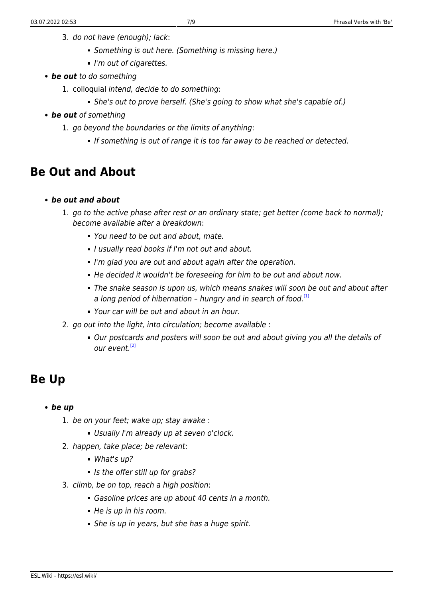- 3. do not have (enough); lack:
	- Something is out here. (Something is missing here.)
	- I'm out of cigarettes.
- *be out* to do something
	- 1. colloquial intend, decide to do something:
		- She's out to prove herself. (She's going to show what she's capable of.)
- *be out* of something
	- 1. go beyond the boundaries or the limits of anything:
		- If something is out of range it is too far away to be reached or detected.

# **Be Out and About**

- *be out and about*
	- 1. go to the active phase after rest or an ordinary state; get better (come back to normal); become available after a breakdown:
		- You need to be out and about, mate.
		- I usually read books if I'm not out and about.
		- I'm glad you are out and about again after the operation.
		- He decided it wouldn't be foreseeing for him to be out and about now.
		- The snake season is upon us, which means snakes will soon be out and about after a long period of hibernation – hungry and in search of food.<sup>[\[1\]](#page-8-1)</sup>
		- Your car will be out and about in an hour.
	- 2. go out into the light, into circulation; become available :
		- Our postcards and posters will soon be out and about giving you all the details of  $O(1)$  event  $^{[2]}$  $^{[2]}$  $^{[2]}$

# <span id="page-6-1"></span><span id="page-6-0"></span>**Be Up**

- *be up*
	- 1. be on your feet; wake up; stay awake :
		- Usually I'm already up at seven o'clock.
	- 2. happen, take place; be relevant:
		- What's up?
		- If Is the offer still up for grabs?
	- 3. climb, be on top, reach a high position:
		- Gasoline prices are up about 40 cents in a month.
		- He is up in his room.
		- She is up in years, but she has a huge spirit.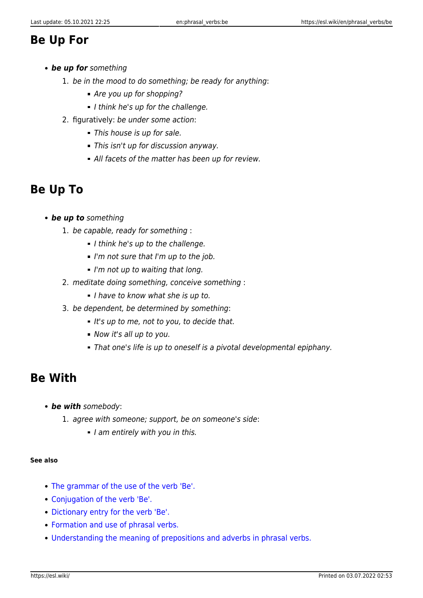### **Be Up For**

- *be up for* something
	- 1. be in the mood to do something; be ready for anything:
		- Are you up for shopping?
		- I think he's up for the challenge.
	- 2. figuratively: be under some action:
		- This house is up for sale.
		- This isn't up for discussion anyway.
		- All facets of the matter has been up for review.

# **Be Up To**

- *be up to* something
	- 1. be capable, ready for something :
		- I think he's up to the challenge.
		- $I'm$  not sure that I'm up to the job.
		- $I'm$  not up to waiting that long.
	- 2. meditate doing something, conceive something :
		- I have to know what she is up to.
	- 3. be dependent, be determined by something:
		- $I$  It's up to me, not to you, to decide that.
		- Now it's all up to you.
		- That one's life is up to oneself is a pivotal developmental epiphany.

# **Be With**

- *be with* somebody:
	- 1. agree with someone; support, be on someone's side:
		- I am entirely with you in this.

#### **See also**

- [The grammar of the use of the verb 'Be'.](https://esl.wiki/en/word_usage/be)
- [Conjugation of the verb 'Be'.](https://esl.wiki/en/word_usage/conjugation_of_be)
- [Dictionary entry for the verb 'Be'.](https://esl.wiki/en/dict/be)
- [Formation and use of phrasal verbs.](https://esl.wiki/en/grammar/phrasal_verb)
- [Understanding the meaning of prepositions and adverbs in phrasal verbs.](https://esl.wiki/en/phrasal_verbs/understanding_phrasal_verbs)